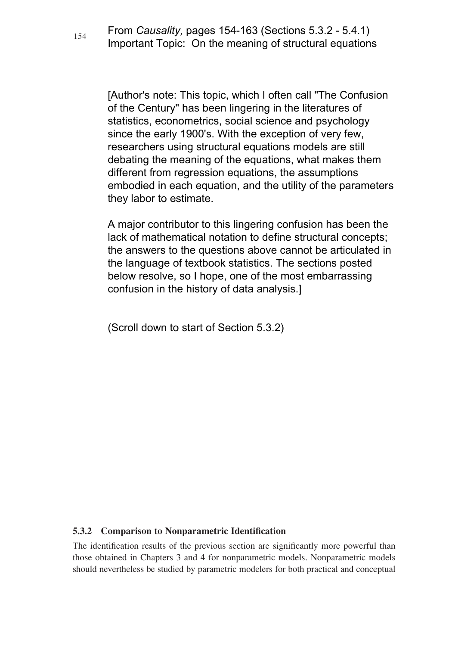different from regression equations, the assumptions embodied in each equation, and the utility of the parameters The process just described is not complete, because our insistence on labeling co-Figure 5.11<sup> Indian</sup> and using the Confusion vpiv, n<br>.. [Author's note: This topic, which I often call "The Confusion of the Century" has been lingering in the literatures of statistics, econometrics, social science and psychology since the early 1900's. With the exception of very few, researchers using structural equations models are still debating the meaning of the equations, what makes them they labor to estimate.

A major contributor to this lingering confusion has been the  $\frac{1}{2}$ ,  $\frac{1}{2}$ ,  $\frac{1}{2}$ ,  $\frac{1}{2}$ ,  $\frac{1}{2}$ ,  $\frac{1}{2}$ ,  $\frac{1}{2}$ ,  $\frac{1}{2}$ ,  $\frac{1}{2}$ ,  $\frac{1}{2}$ ,  $\frac{1}{2}$ ,  $\frac{1}{2}$ ,  $\frac{1}{2}$ ,  $\frac{1}{2}$ ,  $\frac{1}{2}$ ,  $\frac{1}{2}$ ,  $\frac{1}{2}$ ,  $\frac{1}{2}$ ,  $\frac{1}{2}$ ,  $\frac{1}{2}$ ,  $\$ rack or mathematical notation to define structural concepts, the answers to the questions above cannot be articulated in the language of textbook statistics. The sections posted below resolve, so I hope, one of the most embarrassing  $r_{\rm{c}}$  is independent in the most every where  $\alpha$  is almost extracted  $\alpha$ confusion in the history of data analysis.] ` A major commutation to this imgetting component has been the

 $t_{\text{c}}$  rows to make sure that the equations are non-(Scroll down to start of Section 5.3.2)

# **5.3.2 Comparison to Nonparametric Identification**

The identification results of the previous section are significantly more powerful than those obtained in Chapters 3 and 4 for nonparametric models. Nonparametric models should nevertheless be studied by parametric modelers for both practical and conceptual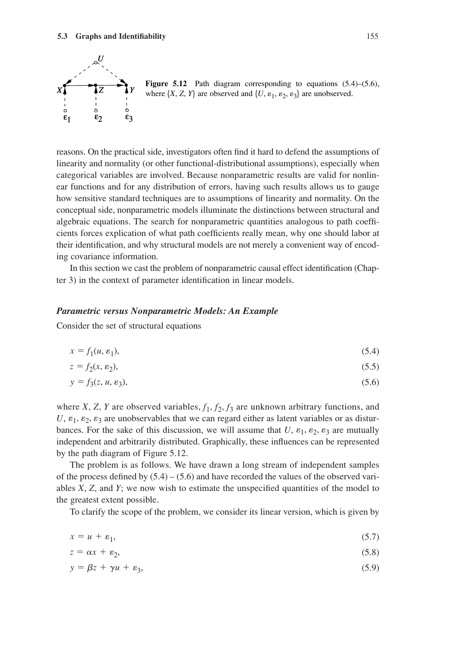

**Figure 5.12** Path diagram corresponding to equations  $(5.4)$ – $(5.6)$ , where  $\{X, Z, Y\}$  are observed and  $\{U, \varepsilon_1, \varepsilon_2, \varepsilon_3\}$  are unobserved.

reasons. On the practical side, investigators often find it hard to defend the assumptions of linearity and normality (or other functional-distributional assumptions), especially when categorical variables are involved. Because nonparametric results are valid for nonlinear functions and for any distribution of errors, having such results allows us to gauge how sensitive standard techniques are to assumptions of linearity and normality. On the conceptual side, nonparametric models illuminate the distinctions between structural and algebraic equations. The search for nonparametric quantities analogous to path coefficients forces explication of what path coefficients really mean, why one should labor at their identification, and why structural models are not merely a convenient way of encoding covariance information.

In this section we cast the problem of nonparametric causal effect identification (Chapter 3) in the context of parameter identification in linear models.

### *Parametric versus Nonparametric Models: An Example*

Consider the set of structural equations

$$
x = f_1(u, \varepsilon_1), \tag{5.4}
$$

$$
z = f_2(x, \varepsilon_2),\tag{5.5}
$$

$$
y = f_3(z, u, \varepsilon_3),\tag{5.6}
$$

where *X*, *Z*, *Y* are observed variables,  $f_1$ ,  $f_2$ ,  $f_3$  are unknown arbitrary functions, and  $U$ ,  $\varepsilon_1$ ,  $\varepsilon_2$ ,  $\varepsilon_3$  are unobservables that we can regard either as latent variables or as disturbances. For the sake of this discussion, we will assume that  $U$ ,  $\varepsilon_1$ ,  $\varepsilon_2$ ,  $\varepsilon_3$  are mutually independent and arbitrarily distributed. Graphically, these influences can be represented by the path diagram of Figure 5.12.

The problem is as follows. We have drawn a long stream of independent samples of the process defined by  $(5.4) - (5.6)$  and have recorded the values of the observed variables *X*, *Z*, and *Y*; we now wish to estimate the unspecified quantities of the model to the greatest extent possible.

To clarify the scope of the problem, we consider its linear version, which is given by

$$
x = u + \varepsilon_1,\tag{5.7}
$$

$$
z = \alpha x + \varepsilon_2, \tag{5.8}
$$

$$
y = \beta z + \gamma u + \varepsilon_3, \tag{5.9}
$$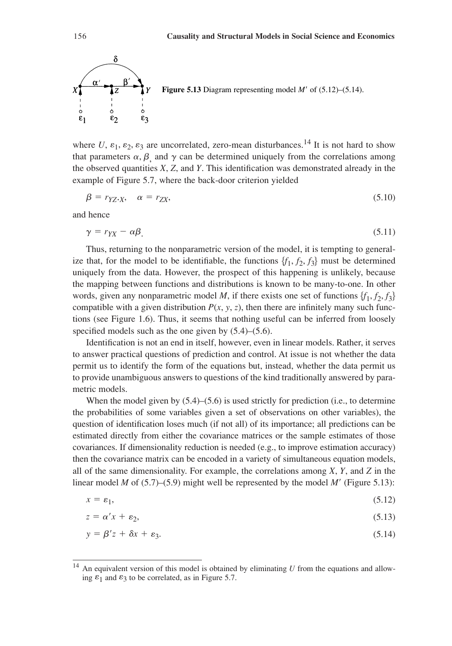



where U,  $\varepsilon_1$ ,  $\varepsilon_2$ ,  $\varepsilon_3$  are uncorrelated, zero-mean disturbances.<sup>14</sup> It is not hard to show that parameters  $\alpha$ ,  $\beta$ , and  $\gamma$  can be determined uniquely from the correlations among the observed quantities *X*, *Z*, and *Y*. This identification was demonstrated already in the example of Figure 5.7, where the back-door criterion yielded

$$
\beta = r_{YZ} \cdot x, \quad \alpha = r_{ZX}, \tag{5.10}
$$

and hence

$$
\gamma = r_{YX} - \alpha \beta. \tag{5.11}
$$

Thus, returning to the nonparametric version of the model, it is tempting to generalize that, for the model to be identifiable, the functions  $\{f_1, f_2, f_3\}$  must be determined uniquely from the data. However, the prospect of this happening is unlikely, because the mapping between functions and distributions is known to be many-to-one. In other words, given any nonparametric model *M*, if there exists one set of functions  $\{f_1, f_2, f_3\}$ compatible with a given distribution  $P(x, y, z)$ , then there are infinitely many such functions (see Figure 1.6). Thus, it seems that nothing useful can be inferred from loosely specified models such as the one given by  $(5.4)$ – $(5.6)$ .

Identification is not an end in itself, however, even in linear models. Rather, it serves to answer practical questions of prediction and control. At issue is not whether the data permit us to identify the form of the equations but, instead, whether the data permit us to provide unambiguous answers to questions of the kind traditionally answered by parametric models.

When the model given by  $(5.4)$ – $(5.6)$  is used strictly for prediction (i.e., to determine the probabilities of some variables given a set of observations on other variables), the question of identification loses much (if not all) of its importance; all predictions can be estimated directly from either the covariance matrices or the sample estimates of those covariances. If dimensionality reduction is needed (e.g., to improve estimation accuracy) then the covariance matrix can be encoded in a variety of simultaneous equation models, all of the same dimensionality. For example, the correlations among *X*, *Y*, and *Z* in the linear model *M* of  $(5.7)$ – $(5.9)$  might well be represented by the model *M'* (Figure 5.13):

$$
x = \varepsilon_1,\tag{5.12}
$$

$$
z = \alpha' x + \varepsilon_2, \tag{5.13}
$$

$$
y = \beta' z + \delta x + \varepsilon_3. \tag{5.14}
$$

<sup>14</sup> An equivalent version of this model is obtained by eliminating *U* from the equations and allowing  $\epsilon_1$  and  $\epsilon_3$  to be correlated, as in Figure 5.7.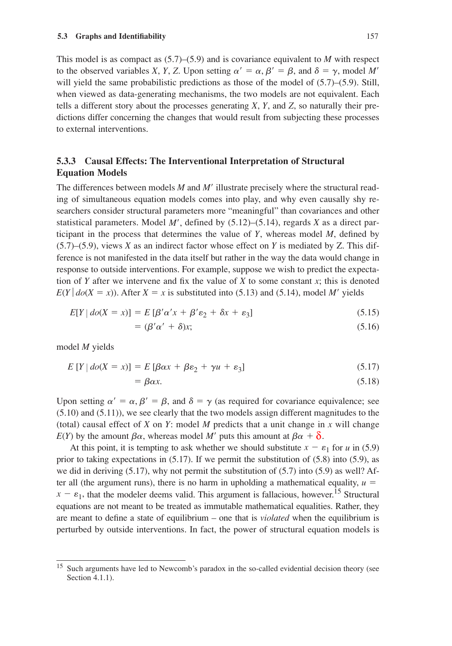This model is as compact as (5.7)–(5.9) and is covariance equivalent to *M* with respect to the observed variables *X*, *Y*, *Z*. Upon setting  $\alpha' = \alpha$ ,  $\beta' = \beta$ , and  $\delta = \gamma$ , model *M'* will yield the same probabilistic predictions as those of the model of  $(5.7)$ – $(5.9)$ . Still, when viewed as data-generating mechanisms, the two models are not equivalent. Each tells a different story about the processes generating *X*, *Y*, and *Z*, so naturally their predictions differ concerning the changes that would result from subjecting these processes to external interventions.

## **5.3.3 Causal Effects: The Interventional Interpretation of Structural Equation Models**

The differences between models  $M$  and  $M'$  illustrate precisely where the structural reading of simultaneous equation models comes into play, and why even causally shy researchers consider structural parameters more "meaningful" than covariances and other statistical parameters. Model  $M'$ , defined by  $(5.12)$ – $(5.14)$ , regards *X* as a direct participant in the process that determines the value of *Y*, whereas model *M*, defined by (5.7)–(5.9), views *X* as an indirect factor whose effect on *Y* is mediated by Z. This difference is not manifested in the data itself but rather in the way the data would change in response to outside interventions. For example, suppose we wish to predict the expectation of *Y* after we intervene and fix the value of *X* to some constant  $x$ ; this is denoted  $E(Y | do(X = x))$ . After  $X = x$  is substituted into (5.13) and (5.14), model M' yields

$$
E[Y \mid do(X = x)] = E\left[\beta'\alpha'x + \beta'\varepsilon_2 + \delta x + \varepsilon_3\right]
$$
\n(5.15)

$$
= (\beta'\alpha' + \delta)x; \tag{5.16}
$$

model *M* yields

$$
E[Y \mid do(X = x)] = E[\beta \alpha x + \beta \varepsilon_2 + \gamma u + \varepsilon_3]
$$
\n(5.17)

$$
= \beta \alpha x. \tag{5.18}
$$

Upon setting  $\alpha' = \alpha$ ,  $\beta' = \beta$ , and  $\delta = \gamma$  (as required for covariance equivalence; see (5.10) and (5.11)), we see clearly that the two models assign different magnitudes to the (total) causal effect of  $X$  on  $Y$ : model  $M$  predicts that a unit change in  $x$  will change *E*(*Y*) by the amount  $\beta \alpha$ , whereas model *M'* puts this amount at  $\beta \alpha + \delta$ .

At this point, it is tempting to ask whether we should substitute  $x - \varepsilon_1$  for *u* in (5.9) prior to taking expectations in  $(5.17)$ . If we permit the substitution of  $(5.8)$  into  $(5.9)$ , as we did in deriving  $(5.17)$ , why not permit the substitution of  $(5.7)$  into  $(5.9)$  as well? After all (the argument runs), there is no harm in upholding a mathematical equality,  $u =$  $x - \varepsilon_1$ , that the modeler deems valid. This argument is fallacious, however.<sup>15</sup> Structural equations are not meant to be treated as immutable mathematical equalities. Rather, they are meant to define a state of equilibrium – one that is *violated* when the equilibrium is perturbed by outside interventions. In fact, the power of structural equation models is

Such arguments have led to Newcomb's paradox in the so-called evidential decision theory (see Section 4.1.1).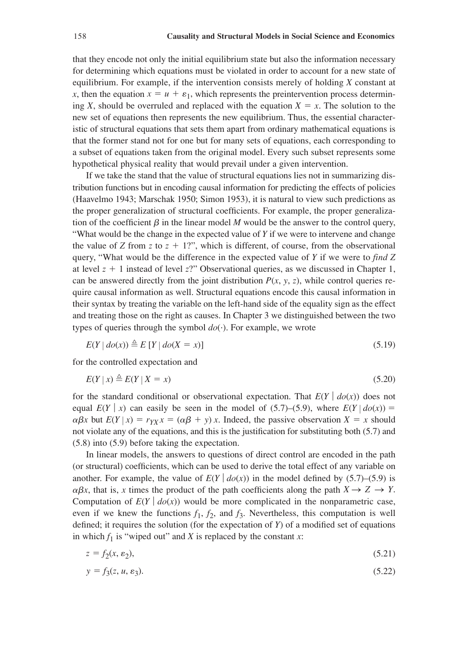that they encode not only the initial equilibrium state but also the information necessary for determining which equations must be violated in order to account for a new state of equilibrium. For example, if the intervention consists merely of holding *X* constant at *x*, then the equation  $x = u + \varepsilon_1$ , which represents the preintervention process determining *X*, should be overruled and replaced with the equation  $X = x$ . The solution to the new set of equations then represents the new equilibrium. Thus, the essential characteristic of structural equations that sets them apart from ordinary mathematical equations is that the former stand not for one but for many sets of equations, each corresponding to a subset of equations taken from the original model. Every such subset represents some hypothetical physical reality that would prevail under a given intervention.

If we take the stand that the value of structural equations lies not in summarizing distribution functions but in encoding causal information for predicting the effects of policies (Haavelmo 1943; Marschak 1950; Simon 1953), it is natural to view such predictions as the proper generalization of structural coefficients. For example, the proper generalization of the coefficient  $\beta$  in the linear model *M* would be the answer to the control query, "What would be the change in the expected value of *Y* if we were to intervene and change the value of *Z* from *z* to  $z + 1$ ?", which is different, of course, from the observational query, "What would be the difference in the expected value of *Y* if we were to *find Z* at level  $z + 1$  instead of level  $z$ ?" Observational queries, as we discussed in Chapter 1, can be answered directly from the joint distribution  $P(x, y, z)$ , while control queries require causal information as well. Structural equations encode this causal information in their syntax by treating the variable on the left-hand side of the equality sign as the effect and treating those on the right as causes. In Chapter 3 we distinguished between the two types of queries through the symbol  $do(·)$ . For example, we wrote

$$
E(Y \mid do(x)) \triangleq E[Y \mid do(X = x)] \tag{5.19}
$$

for the controlled expectation and

$$
E(Y \mid x) \triangleq E(Y \mid X = x) \tag{5.20}
$$

for the standard conditional or observational expectation. That  $E(Y \mid do(x))$  does not equal  $E(Y | x)$  can easily be seen in the model of (5.7)–(5.9), where  $E(Y | do(x)) =$  $\alpha\beta x$  but  $E(Y | x) = r_{YX}x = (\alpha\beta + y)x$ . Indeed, the passive observation  $X = x$  should not violate any of the equations, and this is the justification for substituting both (5.7) and (5.8) into (5.9) before taking the expectation.

In linear models, the answers to questions of direct control are encoded in the path (or structural) coefficients, which can be used to derive the total effect of any variable on another. For example, the value of  $E(Y \mid do(x))$  in the model defined by (5.7)–(5.9) is  $\alpha\beta x$ , that is, *x* times the product of the path coefficients along the path  $X \rightarrow Z \rightarrow Y$ . Computation of  $E(Y \mid do(x))$  would be more complicated in the nonparametric case, even if we knew the functions  $f_1$ ,  $f_2$ , and  $f_3$ . Nevertheless, this computation is well defined; it requires the solution (for the expectation of *Y*) of a modified set of equations in which  $f_1$  is "wiped out" and *X* is replaced by the constant *x*:

$$
z = f_2(x, \varepsilon_2),\tag{5.21}
$$

$$
y = f_3(z, u, \varepsilon_3). \tag{5.22}
$$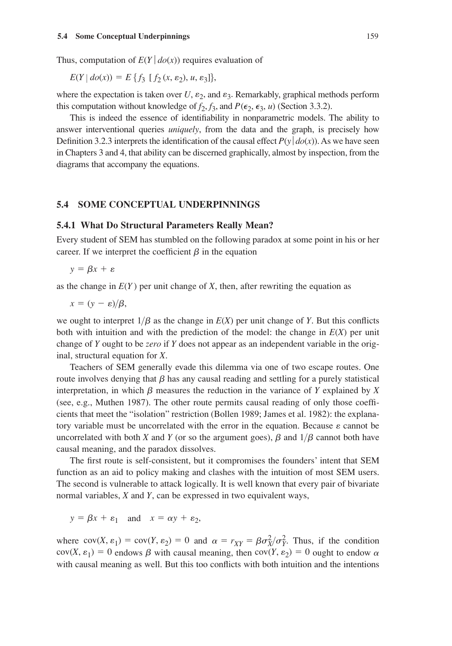Thus, computation of  $E(Y | do(x))$  requires evaluation of

$$
E(Y | do(x)) = E \{ f_3 [ f_2(x, \varepsilon_2), u, \varepsilon_3] \},
$$

where the expectation is taken over  $U$ ,  $\varepsilon_2$ , and  $\varepsilon_3$ . Remarkably, graphical methods perform this computation without knowledge of  $f_2$ ,  $f_3$ , and  $P(\epsilon_2, \epsilon_3, u)$  (Section 3.3.2).

This is indeed the essence of identifiability in nonparametric models. The ability to answer interventional queries *uniquely*, from the data and the graph, is precisely how Definition 3.2.3 interprets the identification of the causal effect  $P(y \mid do(x))$ . As we have seen in Chapters 3 and 4, that ability can be discerned graphically, almost by inspection, from the diagrams that accompany the equations.

#### **5.4 SOME CONCEPTUAL UNDERPINNINGS**

#### **5.4.1 What Do Structural Parameters Really Mean?**

Every student of SEM has stumbled on the following paradox at some point in his or her career. If we interpret the coefficient  $\beta$  in the equation

$$
y = \beta x + \varepsilon
$$

as the change in  $E(Y)$  per unit change of *X*, then, after rewriting the equation as

$$
x=(y-\varepsilon)/\beta,
$$

we ought to interpret  $1/\beta$  as the change in  $E(X)$  per unit change of *Y*. But this conflicts both with intuition and with the prediction of the model: the change in  $E(X)$  per unit change of *Y* ought to be *zero* if *Y* does not appear as an independent variable in the original, structural equation for *X*.

Teachers of SEM generally evade this dilemma via one of two escape routes. One route involves denying that  $\beta$  has any causal reading and settling for a purely statistical interpretation, in which  $\beta$  measures the reduction in the variance of *Y* explained by *X* (see, e.g., Muthen 1987). The other route permits causal reading of only those coefficients that meet the "isolation" restriction (Bollen 1989; James et al. 1982): the explanatory variable must be uncorrelated with the error in the equation. Because  $\varepsilon$  cannot be uncorrelated with both *X* and *Y* (or so the argument goes),  $\beta$  and  $1/\beta$  cannot both have causal meaning, and the paradox dissolves.

The first route is self-consistent, but it compromises the founders' intent that SEM function as an aid to policy making and clashes with the intuition of most SEM users. The second is vulnerable to attack logically. It is well known that every pair of bivariate normal variables, *X* and *Y*, can be expressed in two equivalent ways,

$$
y = \beta x + \varepsilon_1
$$
 and  $x = \alpha y + \varepsilon_2$ ,

where  $cov(X, \varepsilon_1) = cov(Y, \varepsilon_2) = 0$  and  $\alpha = r_{XY} = \beta \sigma_X^2 / \sigma_Y^2$ . Thus, if the condition  $cov(X, \varepsilon_1) = 0$  endows  $\beta$  with causal meaning, then  $cov(Y, \varepsilon_2) = 0$  ought to endow  $\alpha$ with causal meaning as well. But this too conflicts with both intuition and the intentions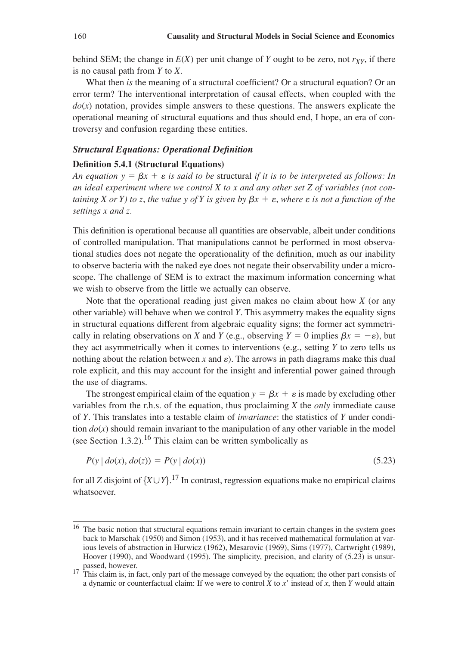behind SEM; the change in  $E(X)$  per unit change of *Y* ought to be zero, not  $r_{XY}$ , if there is no causal path from *Y* to *X*.

What then *is* the meaning of a structural coefficient? Or a structural equation? Or an error term? The interventional interpretation of causal effects, when coupled with the  $do(x)$  notation, provides simple answers to these questions. The answers explicate the operational meaning of structural equations and thus should end, I hope, an era of controversy and confusion regarding these entities.

### *Structural Equations: Operational Definition*

### **Definition 5.4.1 (Structural Equations)**

*An equation*  $y = \beta x + \varepsilon$  *is said to be structural if it is to be interpreted as follows: In an ideal experiment where we control X to x and any other set Z of variables (not containing X or Y*) to *z*, the value y of *Y* is given by  $\beta x + \varepsilon$ , where  $\varepsilon$  is not a function of the *settings x and z.*

This definition is operational because all quantities are observable, albeit under conditions of controlled manipulation. That manipulations cannot be performed in most observational studies does not negate the operationality of the definition, much as our inability to observe bacteria with the naked eye does not negate their observability under a microscope. The challenge of SEM is to extract the maximum information concerning what we wish to observe from the little we actually can observe.

Note that the operational reading just given makes no claim about how *X* (or any other variable) will behave when we control *Y*. This asymmetry makes the equality signs in structural equations different from algebraic equality signs; the former act symmetrically in relating observations on *X* and *Y* (e.g., observing *Y* = 0 implies  $\beta x = -\varepsilon$ ), but they act asymmetrically when it comes to interventions (e.g., setting *Y* to zero tells us nothing about the relation between x and  $\varepsilon$ ). The arrows in path diagrams make this dual role explicit, and this may account for the insight and inferential power gained through the use of diagrams.

The strongest empirical claim of the equation  $y = \beta x + \varepsilon$  is made by excluding other variables from the r.h.s. of the equation, thus proclaiming *X* the *only* immediate cause of *Y*. This translates into a testable claim of *invariance*: the statistics of *Y* under condition  $do(x)$  should remain invariant to the manipulation of any other variable in the model (see Section 1.3.2).<sup>16</sup> This claim can be written symbolically as

$$
P(y | do(x), do(z)) = P(y | do(x))
$$
\n(5.23)

for all *Z* disjoint of  $\{X \cup Y\}$ .<sup>17</sup> In contrast, regression equations make no empirical claims whatsoever.

<sup>&</sup>lt;sup>16</sup> The basic notion that structural equations remain invariant to certain changes in the system goes back to Marschak (1950) and Simon (1953), and it has received mathematical formulation at various levels of abstraction in Hurwicz (1962), Mesarovic (1969), Sims (1977), Cartwright (1989), Hoover (1990), and Woodward (1995). The simplicity, precision, and clarity of (5.23) is unsur-

passed, however. <sup>17</sup> This claim is, in fact, only part of the message conveyed by the equation; the other part consists of a dynamic or counterfactual claim: If we were to control  $X$  to  $x'$  instead of  $x$ , then  $Y$  would attain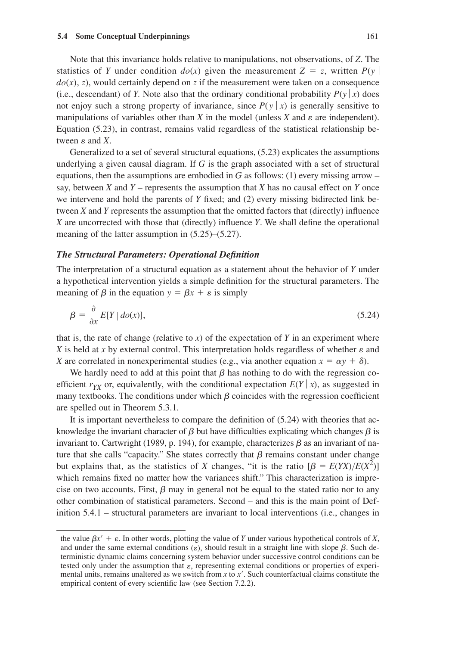Note that this invariance holds relative to manipulations, not observations, of *Z*. The statistics of *Y* under condition  $do(x)$  given the measurement  $Z = z$ , written  $P(y \mid \mathbf{x})$  $do(x)$ , *z*), would certainly depend on *z* if the measurement were taken on a consequence (i.e., descendant) of *Y*. Note also that the ordinary conditional probability  $P(y|x)$  does not enjoy such a strong property of invariance, since  $P(y|x)$  is generally sensitive to manipulations of variables other than  $X$  in the model (unless  $X$  and  $\varepsilon$  are independent). Equation (5.23), in contrast, remains valid regardless of the statistical relationship between  $\varepsilon$  and  $X$ .

Generalized to a set of several structural equations, (5.23) explicates the assumptions underlying a given causal diagram. If *G* is the graph associated with a set of structural equations, then the assumptions are embodied in *G* as follows: (1) every missing arrow – say, between *X* and *Y* – represents the assumption that *X* has no causal effect on *Y* once we intervene and hold the parents of *Y* fixed; and (2) every missing bidirected link between *X* and *Y* represents the assumption that the omitted factors that (directly) influence *X* are uncorrected with those that (directly) influence *Y*. We shall define the operational meaning of the latter assumption in (5.25)–(5.27).

### *The Structural Parameters: Operational Definition*

The interpretation of a structural equation as a statement about the behavior of *Y* under a hypothetical intervention yields a simple definition for the structural parameters. The meaning of  $\beta$  in the equation  $y = \beta x + \varepsilon$  is simply

$$
\beta = \frac{\partial}{\partial x} E[Y \mid do(x)],\tag{5.24}
$$

that is, the rate of change (relative to  $x$ ) of the expectation of  $Y$  in an experiment where X is held at  $x$  by external control. This interpretation holds regardless of whether  $\varepsilon$  and X are correlated in nonexperimental studies (e.g., via another equation  $x = \alpha y + \delta$ ).

We hardly need to add at this point that  $\beta$  has nothing to do with the regression coefficient  $r_{YY}$  or, equivalently, with the conditional expectation  $E(Y|x)$ , as suggested in many textbooks. The conditions under which  $\beta$  coincides with the regression coefficient are spelled out in Theorem 5.3.1.

It is important nevertheless to compare the definition of (5.24) with theories that acknowledge the invariant character of  $\beta$  but have difficulties explicating which changes  $\beta$  is invariant to. Cartwright (1989, p. 194), for example, characterizes  $\beta$  as an invariant of nature that she calls "capacity." She states correctly that  $\beta$  remains constant under change but explains that, as the statistics of *X* changes, "it is the ratio  $[\beta = E(YX)/E(X^2)]$ which remains fixed no matter how the variances shift." This characterization is imprecise on two accounts. First,  $\beta$  may in general not be equal to the stated ratio nor to any other combination of statistical parameters. Second – and this is the main point of Definition 5.4.1 – structural parameters are invariant to local interventions (i.e., changes in

the value  $\beta x' + \varepsilon$ . In other words, plotting the value of *Y* under various hypothetical controls of *X*, and under the same external conditions  $(\varepsilon)$ , should result in a straight line with slope  $\beta$ . Such deterministic dynamic claims concerning system behavior under successive control conditions can be tested only under the assumption that  $\varepsilon$ , representing external conditions or properties of experimental units, remains unaltered as we switch from  $x$  to  $x'$ . Such counterfactual claims constitute the empirical content of every scientific law (see Section 7.2.2).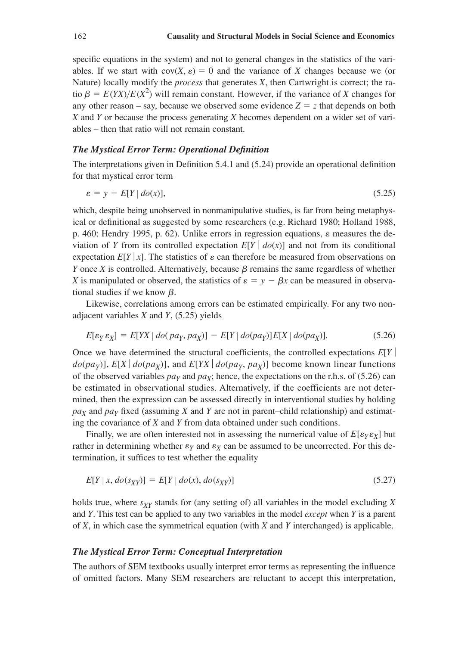specific equations in the system) and not to general changes in the statistics of the variables. If we start with  $cov(X, \varepsilon) = 0$  and the variance of *X* changes because we (or Nature) locally modify the *process* that generates *X*, then Cartwright is correct; the ratio  $\beta = E(YX)/E(X^2)$  will remain constant. However, if the variance of *X* changes for any other reason – say, because we observed some evidence  $Z = z$  that depends on both *X* and *Y* or because the process generating *X* becomes dependent on a wider set of variables – then that ratio will not remain constant.

### *The Mystical Error Term: Operational Definition*

The interpretations given in Definition 5.4.1 and (5.24) provide an operational definition for that mystical error term

$$
\varepsilon = y - E[Y | do(x)],\tag{5.25}
$$

which, despite being unobserved in nonmanipulative studies, is far from being metaphysical or definitional as suggested by some researchers (e.g. Richard 1980; Holland 1988, p. 460; Hendry 1995, p. 62). Unlike errors in regression equations,  $\varepsilon$  measures the deviation of *Y* from its controlled expectation  $E[Y \mid do(x)]$  and not from its conditional expectation  $E[Y|x]$ . The statistics of  $\varepsilon$  can therefore be measured from observations on *Y* once *X* is controlled. Alternatively, because  $\beta$  remains the same regardless of whether X is manipulated or observed, the statistics of  $\varepsilon = y - \beta x$  can be measured in observational studies if we know  $\beta$ .

Likewise, correlations among errors can be estimated empirically. For any two nonadjacent variables *X* and *Y*, (5.25) yields

$$
E[\varepsilon_Y \varepsilon_X] = E[YX \mid \text{do}(p a_Y, p a_X)] - E[Y \mid \text{do}(p a_Y)] E[X \mid \text{do}(p a_X)]. \tag{5.26}
$$

Once we have determined the structural coefficients, the controlled expectations  $E[Y]$  $d\rho(pay)$ ],  $E[X \mid d\rho(pay)]$ , and  $E[YX \mid d\rho(pay, pay)]$  become known linear functions of the observed variables  $pa<sub>Y</sub>$  and  $pa<sub>X</sub>$ ; hence, the expectations on the r.h.s. of (5.26) can be estimated in observational studies. Alternatively, if the coefficients are not determined, then the expression can be assessed directly in interventional studies by holding  $p a_X$  and  $p a_Y$  fixed (assuming *X* and *Y* are not in parent–child relationship) and estimating the covariance of *X* and *Y* from data obtained under such conditions.

Finally, we are often interested not in assessing the numerical value of  $E[\epsilon_Y \epsilon_X]$  but rather in determining whether  $\varepsilon_Y$  and  $\varepsilon_X$  can be assumed to be uncorrected. For this determination, it suffices to test whether the equality

$$
E[Y \mid x, do(s_{XY})] = E[Y \mid do(x), do(s_{XY})]
$$
\n(5.27)

holds true, where  $s_{XY}$  stands for (any setting of) all variables in the model excluding *X* and *Y*. This test can be applied to any two variables in the model *except* when *Y* is a parent of *X*, in which case the symmetrical equation (with *X* and *Y* interchanged) is applicable.

#### *The Mystical Error Term: Conceptual Interpretation*

The authors of SEM textbooks usually interpret error terms as representing the influence of omitted factors. Many SEM researchers are reluctant to accept this interpretation,